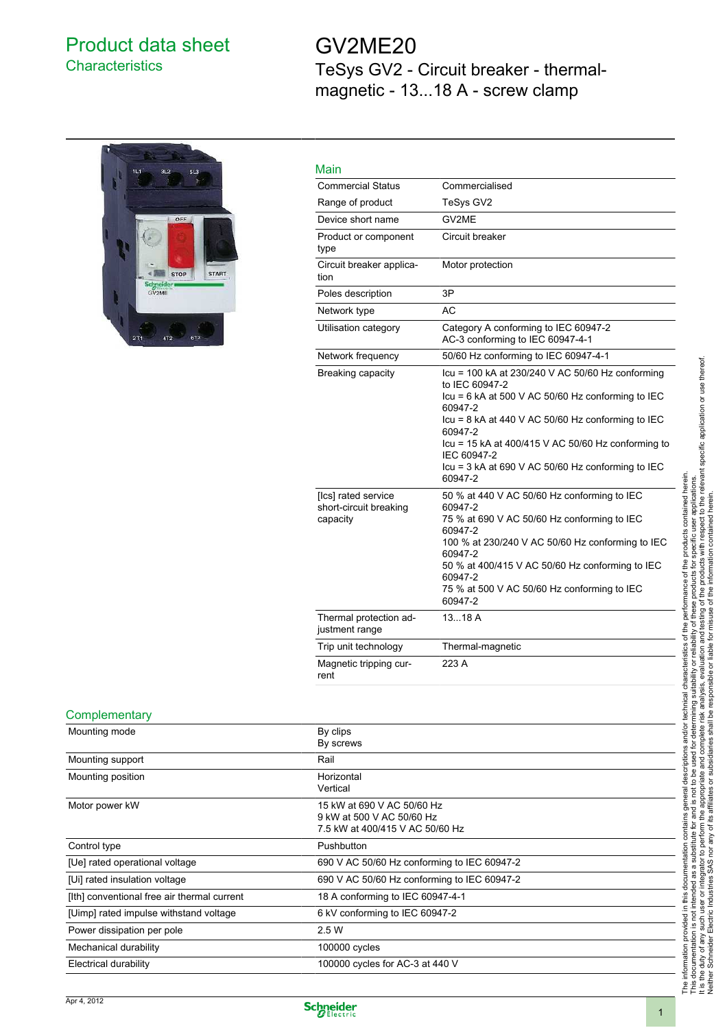## Product data sheet **Characteristics**

# GV2ME20 TeSys GV2 - Circuit breaker - thermalmagnetic - 13...18 A - screw clamp



| Main                                                      |                                                                                                                                                                                                                                                                                                                                               |
|-----------------------------------------------------------|-----------------------------------------------------------------------------------------------------------------------------------------------------------------------------------------------------------------------------------------------------------------------------------------------------------------------------------------------|
| <b>Commercial Status</b>                                  | Commercialised                                                                                                                                                                                                                                                                                                                                |
| Range of product                                          | TeSys GV2                                                                                                                                                                                                                                                                                                                                     |
| Device short name                                         | GV2ME                                                                                                                                                                                                                                                                                                                                         |
| Product or component<br>type                              | Circuit breaker                                                                                                                                                                                                                                                                                                                               |
| Circuit breaker applica-<br>tion                          | Motor protection                                                                                                                                                                                                                                                                                                                              |
| Poles description                                         | 3P                                                                                                                                                                                                                                                                                                                                            |
| Network type                                              | AC                                                                                                                                                                                                                                                                                                                                            |
| Utilisation category                                      | Category A conforming to IEC 60947-2<br>AC-3 conforming to IEC 60947-4-1                                                                                                                                                                                                                                                                      |
| Network frequency                                         | 50/60 Hz conforming to IEC 60947-4-1                                                                                                                                                                                                                                                                                                          |
| Breaking capacity                                         | Icu = 100 kA at 230/240 V AC 50/60 Hz conforming<br>to IEC 60947-2<br>$lcu = 6$ kA at 500 V AC 50/60 Hz conforming to IEC<br>60947-2<br>$lcu = 8$ kA at 440 V AC 50/60 Hz conforming to IEC<br>60947-2<br>Icu = 15 kA at 400/415 V AC 50/60 Hz conforming to<br>IEC 60947-2<br>$lcu = 3$ kA at 690 V AC 50/60 Hz conforming to IEC<br>60947-2 |
| [Ics] rated service<br>short-circuit breaking<br>capacity | 50 % at 440 V AC 50/60 Hz conforming to IEC<br>60947-2<br>75 % at 690 V AC 50/60 Hz conforming to IEC<br>60947-2<br>100 % at 230/240 V AC 50/60 Hz conforming to IEC<br>60947-2<br>50 % at 400/415 V AC 50/60 Hz conforming to IEC<br>60947-2<br>75 % at 500 V AC 50/60 Hz conforming to IEC<br>60947-2                                       |
| Thermal protection ad-<br>justment range                  | 1318A                                                                                                                                                                                                                                                                                                                                         |
| Trip unit technology                                      | Thermal-magnetic                                                                                                                                                                                                                                                                                                                              |
| Magnetic tripping cur-<br>rent                            | 223 A                                                                                                                                                                                                                                                                                                                                         |

#### **Complementary**

| Mounting mode                               | By clips<br>By screws                                                                      |
|---------------------------------------------|--------------------------------------------------------------------------------------------|
| Mounting support                            | Rail                                                                                       |
| Mounting position                           | Horizontal<br>Vertical                                                                     |
| Motor power kW                              | 15 kW at 690 V AC 50/60 Hz<br>9 kW at 500 V AC 50/60 Hz<br>7.5 kW at 400/415 V AC 50/60 Hz |
| Control type                                | Pushbutton                                                                                 |
| [Ue] rated operational voltage              | 690 V AC 50/60 Hz conforming to IEC 60947-2                                                |
| [Ui] rated insulation voltage               | 690 V AC 50/60 Hz conforming to IEC 60947-2                                                |
| [Ith] conventional free air thermal current | 18 A conforming to IEC 60947-4-1                                                           |
| [Uimp] rated impulse withstand voltage      | 6 kV conforming to IEC 60947-2                                                             |
| Power dissipation per pole                  | 2.5 W                                                                                      |
| Mechanical durability                       | 100000 cycles                                                                              |
| Electrical durability                       | 100000 cycles for AC-3 at 440 V                                                            |